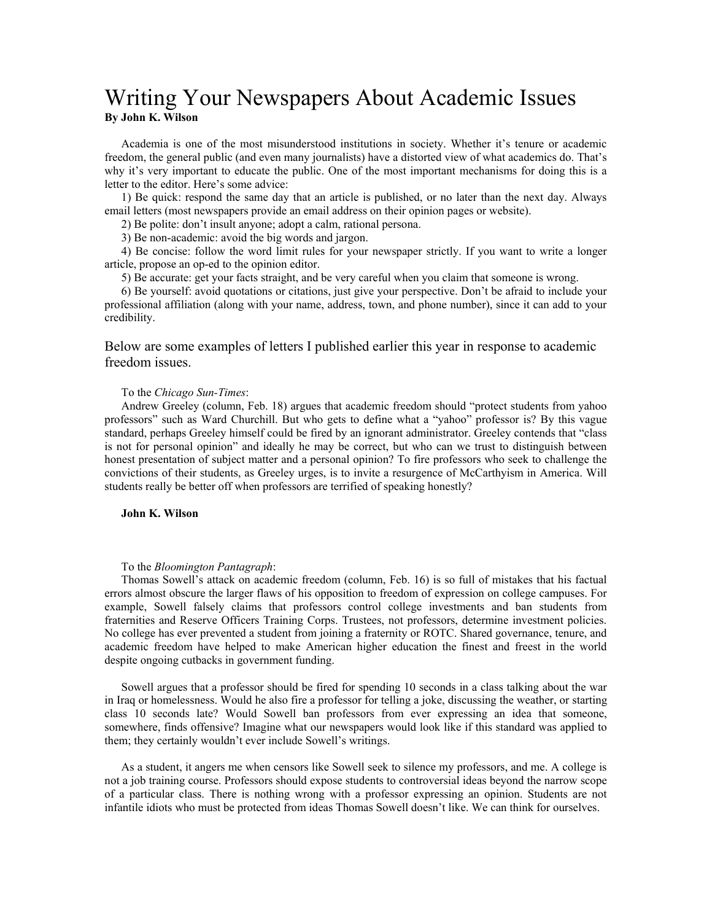## Writing Your Newspapers About Academic Issues **By John K. Wilson**

Academia is one of the most misunderstood institutions in society. Whether it's tenure or academic freedom, the general public (and even many journalists) have a distorted view of what academics do. That's why it's very important to educate the public. One of the most important mechanisms for doing this is a letter to the editor. Here's some advice:

1) Be quick: respond the same day that an article is published, or no later than the next day. Always email letters (most newspapers provide an email address on their opinion pages or website).

2) Be polite: don't insult anyone; adopt a calm, rational persona.

3) Be non-academic: avoid the big words and jargon.

4) Be concise: follow the word limit rules for your newspaper strictly. If you want to write a longer article, propose an op-ed to the opinion editor.

5) Be accurate: get your facts straight, and be very careful when you claim that someone is wrong.

6) Be yourself: avoid quotations or citations, just give your perspective. Don't be afraid to include your professional affiliation (along with your name, address, town, and phone number), since it can add to your credibility.

Below are some examples of letters I published earlier this year in response to academic freedom issues.

## To the *Chicago Sun-Times*:

Andrew Greeley (column, Feb. 18) argues that academic freedom should "protect students from yahoo professors" such as Ward Churchill. But who gets to define what a "yahoo" professor is? By this vague standard, perhaps Greeley himself could be fired by an ignorant administrator. Greeley contends that "class is not for personal opinion" and ideally he may be correct, but who can we trust to distinguish between honest presentation of subject matter and a personal opinion? To fire professors who seek to challenge the convictions of their students, as Greeley urges, is to invite a resurgence of McCarthyism in America. Will students really be better off when professors are terrified of speaking honestly?

## **John K. Wilson**

## To the *Bloomington Pantagraph*:

Thomas Sowell's attack on academic freedom (column, Feb. 16) is so full of mistakes that his factual errors almost obscure the larger flaws of his opposition to freedom of expression on college campuses. For example, Sowell falsely claims that professors control college investments and ban students from fraternities and Reserve Officers Training Corps. Trustees, not professors, determine investment policies. No college has ever prevented a student from joining a fraternity or ROTC. Shared governance, tenure, and academic freedom have helped to make American higher education the finest and freest in the world despite ongoing cutbacks in government funding.

Sowell argues that a professor should be fired for spending 10 seconds in a class talking about the war in Iraq or homelessness. Would he also fire a professor for telling a joke, discussing the weather, or starting class 10 seconds late? Would Sowell ban professors from ever expressing an idea that someone, somewhere, finds offensive? Imagine what our newspapers would look like if this standard was applied to them; they certainly wouldn't ever include Sowell's writings.

As a student, it angers me when censors like Sowell seek to silence my professors, and me. A college is not a job training course. Professors should expose students to controversial ideas beyond the narrow scope of a particular class. There is nothing wrong with a professor expressing an opinion. Students are not infantile idiots who must be protected from ideas Thomas Sowell doesn't like. We can think for ourselves.